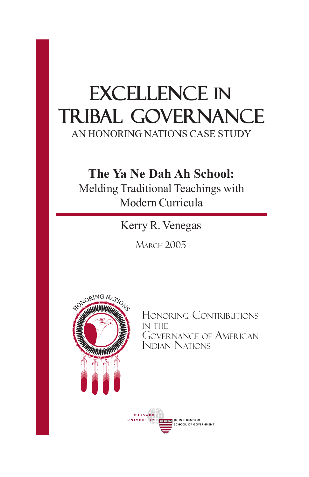# EXCELLENCE IN Tribal Governance

AN HONORING NATIONS CASE STUDY

## **The Ya Ne Dah Ah School:**

Melding Traditional Teachings with Modern Curricula

Kerry R. Venegas

**MARCH 2005** 



HONORING CONTRIBUTIONS IN THE GOVERNANCE OF AMERICAN INDIAN NATIONS

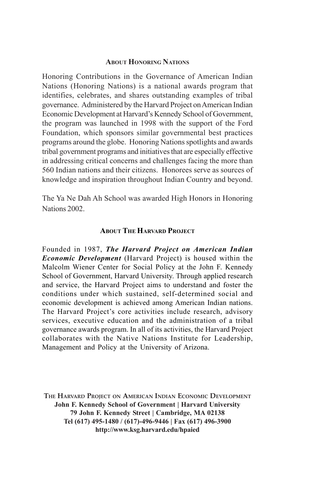#### **ABOUT HONORING NATIONS**

Honoring Contributions in the Governance of American Indian Nations (Honoring Nations) is a national awards program that identifies, celebrates, and shares outstanding examples of tribal governance. Administered by the Harvard Project on American Indian Economic Development at Harvard's Kennedy School of Government, the program was launched in 1998 with the support of the Ford Foundation, which sponsors similar governmental best practices programs around the globe. Honoring Nations spotlights and awards tribal government programs and initiatives that are especially effective in addressing critical concerns and challenges facing the more than 560 Indian nations and their citizens. Honorees serve as sources of knowledge and inspiration throughout Indian Country and beyond.

The Ya Ne Dah Ah School was awarded High Honors in Honoring Nations 2002.

#### **ABOUT THE HARVARD PROJECT**

Founded in 1987, *The Harvard Project on American Indian Economic Development* (Harvard Project) is housed within the Malcolm Wiener Center for Social Policy at the John F. Kennedy School of Government, Harvard University. Through applied research and service, the Harvard Project aims to understand and foster the conditions under which sustained, self-determined social and economic development is achieved among American Indian nations. The Harvard Project's core activities include research, advisory services, executive education and the administration of a tribal governance awards program. In all of its activities, the Harvard Project collaborates with the Native Nations Institute for Leadership, Management and Policy at the University of Arizona.

**THE HARVARD PROJECT ON AMERICAN INDIAN ECONOMIC DEVELOPMENT John F. Kennedy School of Government | Harvard University 79 John F. Kennedy Street | Cambridge, MA 02138 Tel (617) 495-1480 / (617)-496-9446 | Fax (617) 496-3900 http://www.ksg.harvard.edu/hpaied**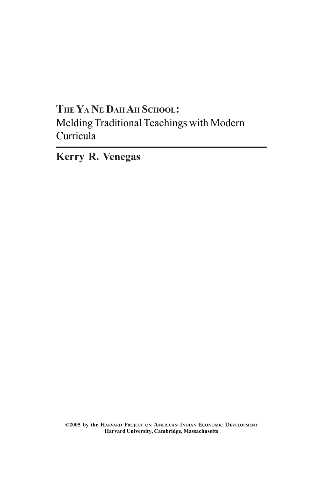## **THE YA NE DAH AH SCHOOL:** Melding Traditional Teachings with Modern Curricula

**Kerry R. Venegas**

**©2005 by the HARVARD PROJECT ON AMERICAN INDIAN ECONOMIC DEVELOPMENT Harvard University, Cambridge, Massachusetts**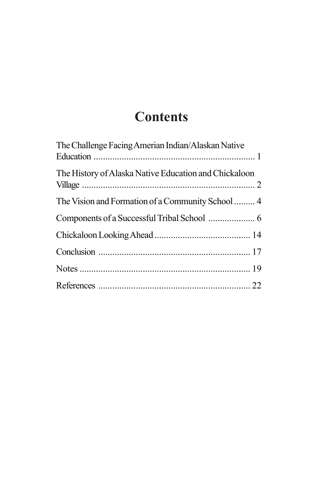# **Contents**

| The Challenge Facing Amerian Indian/Alaskan Native    |  |
|-------------------------------------------------------|--|
| The History of Alaska Native Education and Chickaloon |  |
|                                                       |  |
|                                                       |  |
|                                                       |  |
|                                                       |  |
|                                                       |  |
|                                                       |  |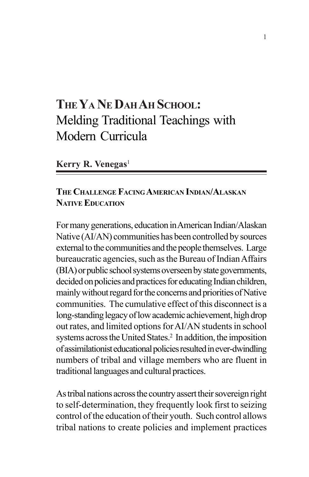## **THE YA NE DAH AH SCHOOL:** Melding Traditional Teachings with Modern Curricula

#### **Kerry R. Venegas**<sup>1</sup>

#### **THE CHALLENGE FACING AMERICAN INDIAN/ALASKAN NATIVE EDUCATION**

For many generations, education in American Indian/Alaskan Native (AI/AN) communities has been controlled by sources external to the communities and the people themselves. Large bureaucratic agencies, such as the Bureau of Indian Affairs (BIA) or public school systems overseen by state governments, decided on policies and practices for educating Indian children, mainly without regard for the concerns and priorities of Native communities. The cumulative effect of this disconnect is a long-standing legacy of low academic achievement, high drop out rates, and limited options for AI/AN students in school systems across the United States.<sup>2</sup> In addition, the imposition of assimilationist educational policies resulted in ever-dwindling numbers of tribal and village members who are fluent in traditional languages and cultural practices.

As tribal nations across the country assert their sovereign right to self-determination, they frequently look first to seizing control of the education of their youth. Such control allows tribal nations to create policies and implement practices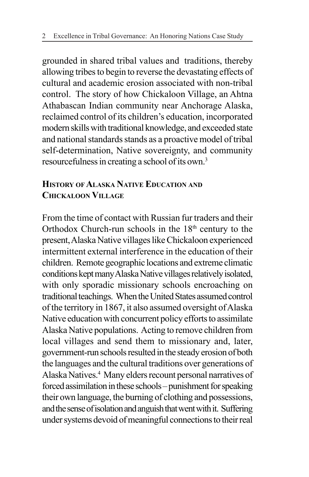grounded in shared tribal values and traditions, thereby allowing tribes to begin to reverse the devastating effects of cultural and academic erosion associated with non-tribal control. The story of how Chickaloon Village, an Ahtna Athabascan Indian community near Anchorage Alaska, reclaimed control of its children's education, incorporated modern skills with traditional knowledge, and exceeded state and national standards stands as a proactive model of tribal self-determination, Native sovereignty, and community resourcefulness in creating a school of its own.3

#### **HISTORY OF ALASKA NATIVE EDUCATION AND CHICKALOON VILLAGE**

From the time of contact with Russian fur traders and their Orthodox Church-run schools in the  $18<sup>th</sup>$  century to the present, Alaska Native villages like Chickaloon experienced intermittent external interference in the education of their children. Remote geographic locations and extreme climatic conditions kept many Alaska Native villages relatively isolated, with only sporadic missionary schools encroaching on traditional teachings. When the United States assumed control of the territory in 1867, it also assumed oversight of Alaska Native education with concurrent policy efforts to assimilate Alaska Native populations. Acting to remove children from local villages and send them to missionary and, later, government-run schools resulted in the steady erosion of both the languages and the cultural traditions over generations of Alaska Natives.4 Many elders recount personal narratives of forced assimilation in these schools – punishment for speaking their own language, the burning of clothing and possessions, and the sense of isolation and anguish that went with it. Suffering under systems devoid of meaningful connections to their real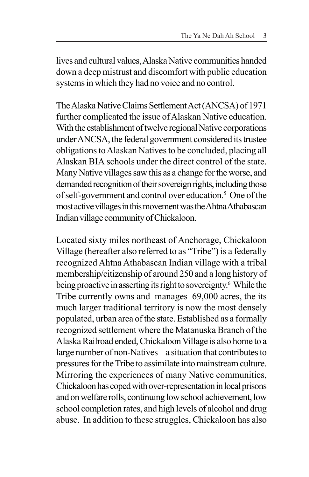lives and cultural values, Alaska Native communities handed down a deep mistrust and discomfort with public education systems in which they had no voice and no control.

The Alaska Native Claims Settlement Act (ANCSA) of 1971 further complicated the issue of Alaskan Native education. With the establishment of twelve regional Native corporations under ANCSA, the federal government considered its trustee obligations to Alaskan Natives to be concluded, placing all Alaskan BIA schools under the direct control of the state. Many Native villages saw this as a change for the worse, and demanded recognition of their sovereign rights, including those of self-government and control over education.<sup>5</sup> One of the most active villages in this movement was the Ahtna Athabascan Indian village community of Chickaloon.

Located sixty miles northeast of Anchorage, Chickaloon Village (hereafter also referred to as "Tribe") is a federally recognized Ahtna Athabascan Indian village with a tribal membership/citizenship of around 250 and a long history of being proactive in asserting its right to sovereignty.<sup>6</sup> While the Tribe currently owns and manages 69,000 acres, the its much larger traditional territory is now the most densely populated, urban area of the state. Established as a formally recognized settlement where the Matanuska Branch of the Alaska Railroad ended, Chickaloon Village is also home to a large number of non-Natives – a situation that contributes to pressures for the Tribe to assimilate into mainstream culture. Mirroring the experiences of many Native communities, Chickaloon has coped with over-representation in local prisons and on welfare rolls, continuing low school achievement, low school completion rates, and high levels of alcohol and drug abuse. In addition to these struggles, Chickaloon has also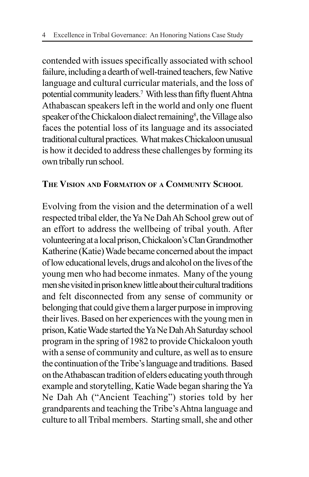contended with issues specifically associated with school failure, including a dearth of well-trained teachers, few Native language and cultural curricular materials, and the loss of potential community leaders.7 With less than fifty fluent Ahtna Athabascan speakers left in the world and only one fluent speaker of the Chickaloon dialect remaining<sup>8</sup>, the Village also faces the potential loss of its language and its associated traditional cultural practices. What makes Chickaloon unusual is how it decided to address these challenges by forming its own tribally run school.

#### **THE VISION AND FORMATION OF A COMMUNITY SCHOOL**

Evolving from the vision and the determination of a well respected tribal elder, the Ya Ne Dah Ah School grew out of an effort to address the wellbeing of tribal youth. After volunteering at a local prison, Chickaloon's Clan Grandmother Katherine (Katie) Wade became concerned about the impact of low educational levels, drugs and alcohol on the lives of the young men who had become inmates. Many of the young men she visited in prison knew little about their cultural traditions and felt disconnected from any sense of community or belonging that could give them a larger purpose in improving their lives. Based on her experiences with the young men in prison, Katie Wade started the Ya Ne Dah Ah Saturday school program in the spring of 1982 to provide Chickaloon youth with a sense of community and culture, as well as to ensure the continuation of the Tribe's language and traditions. Based on the Athabascan tradition of elders educating youth through example and storytelling, Katie Wade began sharing the Ya Ne Dah Ah ("Ancient Teaching") stories told by her grandparents and teaching the Tribe's Ahtna language and culture to all Tribal members. Starting small, she and other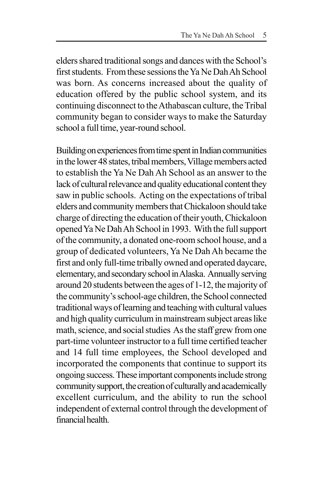elders shared traditional songs and dances with the School's first students. From these sessions the Ya Ne Dah Ah School was born. As concerns increased about the quality of education offered by the public school system, and its continuing disconnect to the Athabascan culture, the Tribal community began to consider ways to make the Saturday school a full time, year-round school.

Building on experiences from time spent in Indian communities in the lower 48 states, tribal members, Village members acted to establish the Ya Ne Dah Ah School as an answer to the lack of cultural relevance and quality educational content they saw in public schools. Acting on the expectations of tribal elders and community members that Chickaloon should take charge of directing the education of their youth, Chickaloon opened Ya Ne Dah Ah School in 1993. With the full support of the community, a donated one-room school house, and a group of dedicated volunteers, Ya Ne Dah Ah became the first and only full-time tribally owned and operated daycare, elementary, and secondary school in Alaska. Annually serving around 20 students between the ages of 1-12, the majority of the community's school-age children, the School connected traditional ways of learning and teaching with cultural values and high quality curriculum in mainstream subject areas like math, science, and social studies As the staff grew from one part-time volunteer instructor to a full time certified teacher and 14 full time employees, the School developed and incorporated the components that continue to support its ongoing success. These important components include strong community support, the creation of culturally and academically excellent curriculum, and the ability to run the school independent of external control through the development of financial health.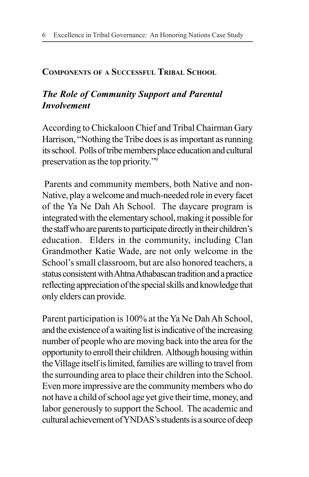#### **COMPONENTS OF A SUCCESSFUL TRIBAL SCHOOL**

#### *The Role of Community Support and Parental Involvement*

According to Chickaloon Chief and Tribal Chairman Gary Harrison, "Nothing the Tribe does is as important as running its school. Polls of tribe members place education and cultural preservation as the top priority."9

 Parents and community members, both Native and non-Native, play a welcome and much-needed role in every facet of the Ya Ne Dah Ah School. The daycare program is integrated with the elementary school, making it possible for the staff who are parents to participate directly in their children's education. Elders in the community, including Clan Grandmother Katie Wade, are not only welcome in the School's small classroom, but are also honored teachers, a status consistent with Ahtna Athabascan tradition and a practice reflecting appreciation of the special skills and knowledge that only elders can provide.

Parent participation is 100% at the Ya Ne Dah Ah School, and the existence of a waiting list is indicative of the increasing number of people who are moving back into the area for the opportunity to enroll their children. Although housing within the Village itself is limited, families are willing to travel from the surrounding area to place their children into the School. Even more impressive are the community members who do not have a child of school age yet give their time, money, and labor generously to support the School. The academic and cultural achievement of YNDAS's students is a source of deep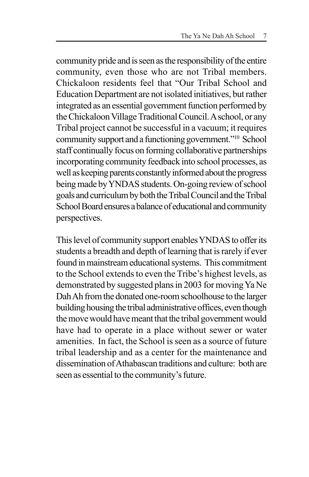community pride and is seen as the responsibility of the entire community, even those who are not Tribal members. Chickaloon residents feel that "Our Tribal School and Education Department are not isolated initiatives, but rather integrated as an essential government function performed by the Chickaloon Village Traditional Council. A school, or any Tribal project cannot be successful in a vacuum; it requires community support and a functioning government."10 School staff continually focus on forming collaborative partnerships incorporating community feedback into school processes, as well as keeping parents constantly informed about the progress being made by YNDAS students. On-going review of school goals and curriculum by both the Tribal Council and the Tribal School Board ensures a balance of educational and community perspectives.

This level of community support enables YNDAS to offer its students a breadth and depth of learning that is rarely if ever found in mainstream educational systems. This commitment to the School extends to even the Tribe's highest levels, as demonstrated by suggested plans in 2003 for moving Ya Ne Dah Ah from the donated one-room schoolhouse to the larger building housing the tribal administrative offices, even though the move would have meant that the tribal government would have had to operate in a place without sewer or water amenities. In fact, the School is seen as a source of future tribal leadership and as a center for the maintenance and dissemination of Athabascan traditions and culture: both are seen as essential to the community's future.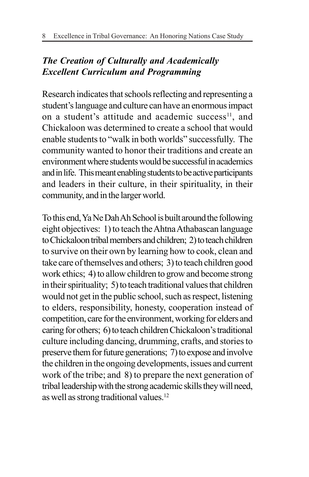### *The Creation of Culturally and Academically Excellent Curriculum and Programming*

Research indicates that schools reflecting and representing a student's language and culture can have an enormous impact on a student's attitude and academic success $11$ , and Chickaloon was determined to create a school that would enable students to "walk in both worlds" successfully. The community wanted to honor their traditions and create an environment where students would be successful in academics and in life. This meant enabling students to be active participants and leaders in their culture, in their spirituality, in their community, and in the larger world.

To this end, Ya Ne Dah Ah School is built around the following eight objectives: 1) to teach the Ahtna Athabascan language to Chickaloon tribal members and children; 2) to teach children to survive on their own by learning how to cook, clean and take care of themselves and others; 3) to teach children good work ethics; 4) to allow children to grow and become strong in their spirituality; 5) to teach traditional values that children would not get in the public school, such as respect, listening to elders, responsibility, honesty, cooperation instead of competition, care for the environment, working for elders and caring for others; 6) to teach children Chickaloon's traditional culture including dancing, drumming, crafts, and stories to preserve them for future generations; 7) to expose and involve the children in the ongoing developments, issues and current work of the tribe; and 8) to prepare the next generation of tribal leadership with the strong academic skills they will need, as well as strong traditional values.12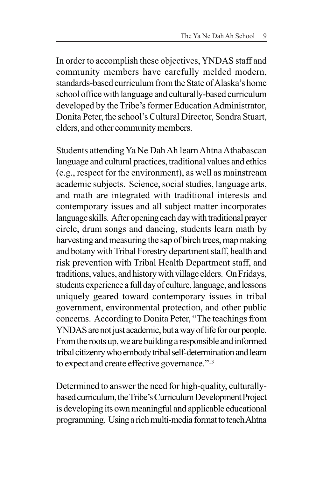In order to accomplish these objectives, YNDAS staff and community members have carefully melded modern, standards-based curriculum from the State of Alaska's home school office with language and culturally-based curriculum developed by the Tribe's former Education Administrator, Donita Peter, the school's Cultural Director, Sondra Stuart, elders, and other community members.

Students attending Ya Ne Dah Ah learn Ahtna Athabascan language and cultural practices, traditional values and ethics (e.g., respect for the environment), as well as mainstream academic subjects. Science, social studies, language arts, and math are integrated with traditional interests and contemporary issues and all subject matter incorporates language skills. After opening each day with traditional prayer circle, drum songs and dancing, students learn math by harvesting and measuring the sap of birch trees, map making and botany with Tribal Forestry department staff, health and risk prevention with Tribal Health Department staff, and traditions, values, and history with village elders. On Fridays, students experience a full day of culture, language, and lessons uniquely geared toward contemporary issues in tribal government, environmental protection, and other public concerns. According to Donita Peter, "The teachings from YNDAS are not just academic, but a way of life for our people. From the roots up, we are building a responsible and informed tribal citizenry who embody tribal self-determination and learn to expect and create effective governance."<sup>13</sup>

Determined to answer the need for high-quality, culturallybased curriculum, the Tribe's Curriculum Development Project is developing its own meaningful and applicable educational programming. Using a rich multi-media format to teach Ahtna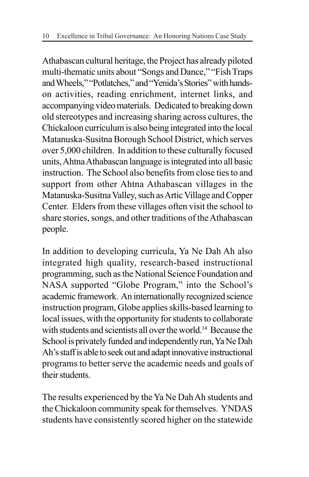Athabascan cultural heritage, the Project has already piloted multi-thematic units about "Songs and Dance," "Fish Traps and Wheels," "Potlatches," and "Yenida's Stories" with handson activities, reading enrichment, internet links, and accompanying video materials. Dedicated to breaking down old stereotypes and increasing sharing across cultures, the Chickaloon curriculum is also being integrated into the local Matanuska-Susitna Borough School District, which serves over 5,000 children. In addition to these culturally focused units, Ahtna Athabascan language is integrated into all basic instruction. The School also benefits from close ties to and support from other Ahtna Athabascan villages in the Matanuska-Susitna Valley, such as Artic Village and Copper Center. Elders from these villages often visit the school to share stories, songs, and other traditions of the Athabascan people.

In addition to developing curricula, Ya Ne Dah Ah also integrated high quality, research-based instructional programming, such as the National Science Foundation and NASA supported "Globe Program," into the School's academic framework. An internationally recognized science instruction program, Globe applies skills-based learning to local issues, with the opportunity for students to collaborate with students and scientists all over the world.<sup>14</sup> Because the School is privately funded and independently run, Ya Ne Dah Ah's staff is able to seek out and adapt innovative instructional programs to better serve the academic needs and goals of their students.

The results experienced by the Ya Ne Dah Ah students and the Chickaloon community speak for themselves. YNDAS students have consistently scored higher on the statewide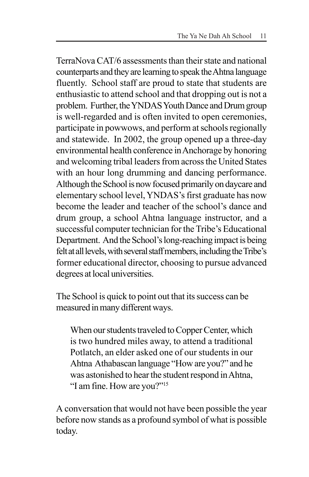TerraNova CAT/6 assessments than their state and national counterparts and they are learning to speak the Ahtna language fluently. School staff are proud to state that students are enthusiastic to attend school and that dropping out is not a problem. Further, the YNDAS Youth Dance and Drum group is well-regarded and is often invited to open ceremonies, participate in powwows, and perform at schools regionally and statewide. In 2002, the group opened up a three-day environmental health conference in Anchorage by honoring and welcoming tribal leaders from across the United States with an hour long drumming and dancing performance. Although the School is now focused primarily on daycare and elementary school level, YNDAS's first graduate has now become the leader and teacher of the school's dance and drum group, a school Ahtna language instructor, and a successful computer technician for the Tribe's Educational Department. And the School's long-reaching impact is being felt at all levels, with several staff members, including the Tribe's former educational director, choosing to pursue advanced degrees at local universities.

The School is quick to point out that its success can be measured in many different ways.

When our students traveled to Copper Center, which is two hundred miles away, to attend a traditional Potlatch, an elder asked one of our students in our Ahtna Athabascan language "How are you?" and he was astonished to hear the student respond in Ahtna, "I am fine. How are you?"15

A conversation that would not have been possible the year before now stands as a profound symbol of what is possible today.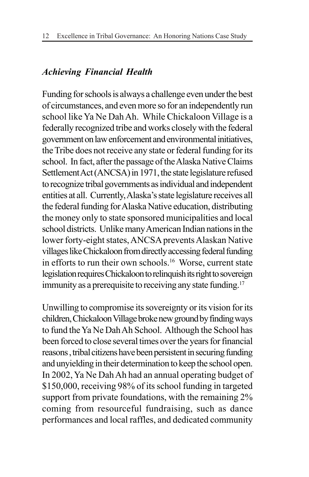#### *Achieving Financial Health*

Funding for schools is always a challenge even under the best of circumstances, and even more so for an independently run school like Ya Ne Dah Ah. While Chickaloon Village is a federally recognized tribe and works closely with the federal government on law enforcement and environmental initiatives, the Tribe does not receive any state or federal funding for its school. In fact, after the passage of the Alaska Native Claims Settlement Act (ANCSA) in 1971, the state legislature refused to recognize tribal governments as individual and independent entities at all. Currently, Alaska's state legislature receives all the federal funding for Alaska Native education, distributing the money only to state sponsored municipalities and local school districts. Unlike many American Indian nations in the lower forty-eight states, ANCSA prevents Alaskan Native villages like Chickaloon from directly accessing federal funding in efforts to run their own schools.16 Worse, current state legislation requires Chickaloon to relinquish its right to sovereign immunity as a prerequisite to receiving any state funding.<sup>17</sup>

Unwilling to compromise its sovereignty or its vision for its children, Chickaloon Village broke new ground by finding ways to fund the Ya Ne Dah Ah School. Although the School has been forced to close several times over the years for financial reasons , tribal citizens have been persistent in securing funding and unyielding in their determination to keep the school open. In 2002, Ya Ne Dah Ah had an annual operating budget of \$150,000, receiving 98% of its school funding in targeted support from private foundations, with the remaining 2% coming from resourceful fundraising, such as dance performances and local raffles, and dedicated community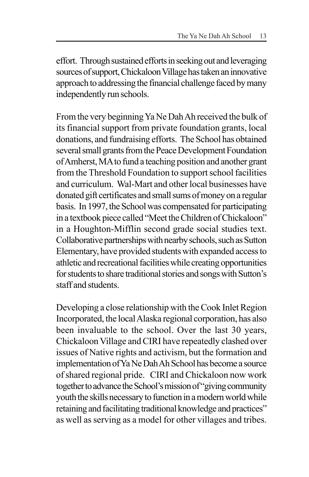effort. Through sustained efforts in seeking out and leveraging sources of support, Chickaloon Village has taken an innovative approach to addressing the financial challenge faced by many independently run schools.

From the very beginning Ya Ne Dah Ah received the bulk of its financial support from private foundation grants, local donations, and fundraising efforts. The School has obtained several small grants from the Peace Development Foundation of Amherst, MA to fund a teaching position and another grant from the Threshold Foundation to support school facilities and curriculum. Wal-Mart and other local businesses have donated gift certificates and small sums of money on a regular basis. In 1997, the School was compensated for participating in a textbook piece called "Meet the Children of Chickaloon" in a Houghton-Mifflin second grade social studies text. Collaborative partnerships with nearby schools, such as Sutton Elementary, have provided students with expanded access to athletic and recreational facilities while creating opportunities for students to share traditional stories and songs with Sutton's staff and students.

Developing a close relationship with the Cook Inlet Region Incorporated, the local Alaska regional corporation, has also been invaluable to the school. Over the last 30 years, Chickaloon Village and CIRI have repeatedly clashed over issues of Native rights and activism, but the formation and implementation of Ya Ne Dah Ah School has become a source of shared regional pride. CIRI and Chickaloon now work together to advance the School's mission of "giving community youth the skills necessary to function in a modern world while retaining and facilitating traditional knowledge and practices" as well as serving as a model for other villages and tribes.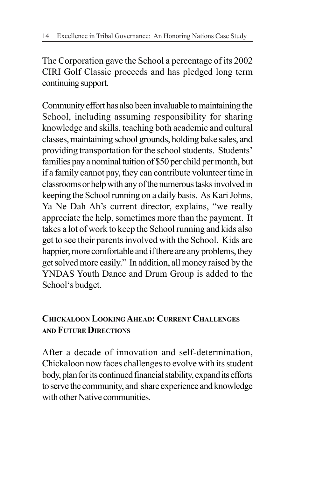The Corporation gave the School a percentage of its 2002 CIRI Golf Classic proceeds and has pledged long term continuing support.

Community effort has also been invaluable to maintaining the School, including assuming responsibility for sharing knowledge and skills, teaching both academic and cultural classes, maintaining school grounds, holding bake sales, and providing transportation for the school students. Students' families pay a nominal tuition of \$50 per child per month, but if a family cannot pay, they can contribute volunteer time in classrooms or help with any of the numerous tasks involved in keeping the School running on a daily basis. As Kari Johns, Ya Ne Dah Ah's current director, explains, "we really appreciate the help, sometimes more than the payment. It takes a lot of work to keep the School running and kids also get to see their parents involved with the School. Kids are happier, more comfortable and if there are any problems, they get solved more easily." In addition, all money raised by the YNDAS Youth Dance and Drum Group is added to the School's budget.

#### **CHICKALOON LOOKING AHEAD: CURRENT CHALLENGES AND FUTURE DIRECTIONS**

After a decade of innovation and self-determination, Chickaloon now faces challenges to evolve with its student body, plan for its continued financial stability, expand its efforts to serve the community, and share experience and knowledge with other Native communities.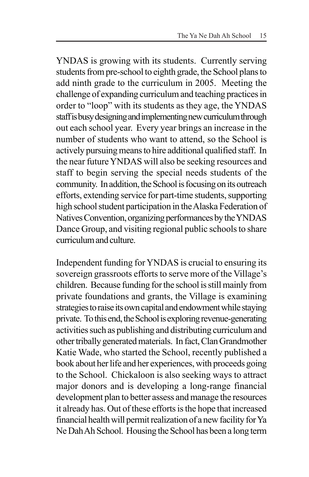YNDAS is growing with its students. Currently serving students from pre-school to eighth grade, the School plans to add ninth grade to the curriculum in 2005. Meeting the challenge of expanding curriculum and teaching practices in order to "loop" with its students as they age, the YNDAS staff is busy designing and implementing new curriculum through out each school year. Every year brings an increase in the number of students who want to attend, so the School is actively pursuing means to hire additional qualified staff. In the near future YNDAS will also be seeking resources and staff to begin serving the special needs students of the community. In addition, the School is focusing on its outreach efforts, extending service for part-time students, supporting high school student participation in the Alaska Federation of Natives Convention, organizing performances by the YNDAS Dance Group, and visiting regional public schools to share curriculum and culture.

Independent funding for YNDAS is crucial to ensuring its sovereign grassroots efforts to serve more of the Village's children. Because funding for the school is still mainly from private foundations and grants, the Village is examining strategies to raise its own capital and endowment while staying private. To this end, the School is exploring revenue-generating activities such as publishing and distributing curriculum and other tribally generated materials. In fact,Clan Grandmother Katie Wade, who started the School, recently published a book about her life and her experiences, with proceeds going to the School. Chickaloon is also seeking ways to attract major donors and is developing a long-range financial development plan to better assess and manage the resources it already has. Out of these efforts is the hope that increased financial health will permit realization of a new facility for Ya Ne Dah Ah School. Housing the School has been a long term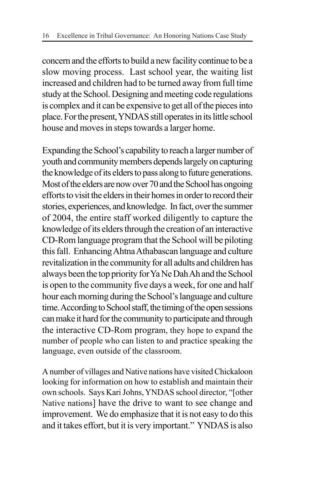concern and the efforts to build a new facility continue to be a slow moving process. Last school year, the waiting list increased and children had to be turned away from full time study at the School. Designing and meeting code regulations is complex and it can be expensive to get all of the pieces into place. For the present, YNDAS still operates in its little school house and moves in steps towards a larger home.

Expanding the School's capability to reach a larger number of youth and community members depends largely on capturing the knowledge of its elders to pass along to future generations. Most of the elders are now over 70 and the School has ongoing efforts to visit the elders in their homes in order to record their stories, experiences, and knowledge. In fact, over the summer of 2004, the entire staff worked diligently to capture the knowledge of its elders through the creation of an interactive CD-Rom language program that the School will be piloting this fall. Enhancing Ahtna Athabascan language and culture revitalization in the community for all adults and children has always been the top priority for Ya Ne Dah Ah and the School is open to the community five days a week, for one and half hour each morning during the School's language and culture time. According to School staff, the timing of the open sessions can make it hard for the community to participate and through the interactive CD-Rom program, they hope to expand the number of people who can listen to and practice speaking the language, even outside of the classroom.

A number of villages and Native nations have visited Chickaloon looking for information on how to establish and maintain their own schools. Says Kari Johns, YNDAS school director, "[other Native nations] have the drive to want to see change and improvement. We do emphasize that it is not easy to do this and it takes effort, but it is very important." YNDAS is also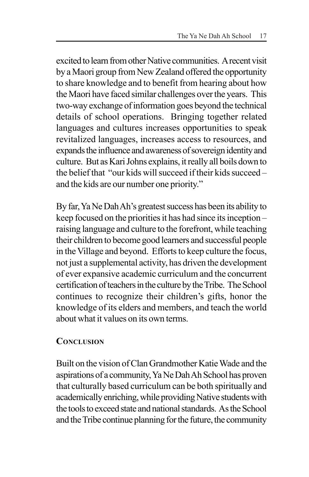excited to learn from other Native communities. A recent visit by a Maori group from New Zealand offered the opportunity to share knowledge and to benefit from hearing about how the Maori have faced similar challenges over the years. This two-way exchange of information goes beyond the technical details of school operations. Bringing together related languages and cultures increases opportunities to speak revitalized languages, increases access to resources, and expands the influence and awareness of sovereign identity and culture. But as Kari Johns explains, it really all boils down to the belief that "our kids will succeed if their kids succeed – and the kids are our number one priority."

By far, Ya Ne Dah Ah's greatest success has been its ability to keep focused on the priorities it has had since its inception – raising language and culture to the forefront, while teaching their children to become good learners and successful people in the Village and beyond. Efforts to keep culture the focus, not just a supplemental activity, has driven the development of ever expansive academic curriculum and the concurrent certification of teachers in the culture by the Tribe. The School continues to recognize their children's gifts, honor the knowledge of its elders and members, and teach the world about what it values on its own terms.

#### **CONCLUSION**

Built on the vision of Clan Grandmother Katie Wade and the aspirations of a community, Ya Ne Dah Ah School has proven that culturally based curriculum can be both spiritually and academically enriching, while providing Native students with the tools to exceed state and national standards. As the School and the Tribe continue planning for the future, the community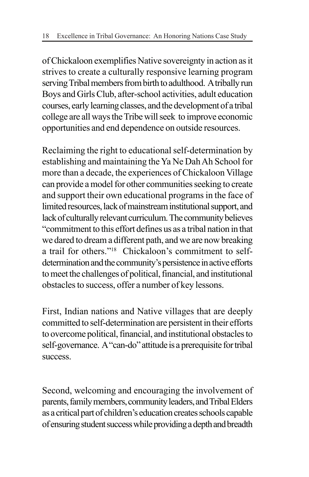of Chickaloon exemplifies Native sovereignty in action as it strives to create a culturally responsive learning program serving Tribal members from birth to adulthood. A tribally run Boys and Girls Club, after-school activities, adult education courses, early learning classes, and the development of a tribal college are all ways the Tribe will seek to improve economic opportunities and end dependence on outside resources.

Reclaiming the right to educational self-determination by establishing and maintaining the Ya Ne Dah Ah School for more than a decade, the experiences of Chickaloon Village can provide a model for other communities seeking to create and support their own educational programs in the face of limited resources, lack of mainstream institutional support, and lack of culturally relevant curriculum. The community believes "commitment to this effort defines us as a tribal nation in that we dared to dream a different path, and we are now breaking a trail for others."18 Chickaloon's commitment to selfdetermination and the community's persistence in active efforts to meet the challenges of political, financial, and institutional obstacles to success, offer a number of key lessons.

First, Indian nations and Native villages that are deeply committed to self-determination are persistent in their efforts to overcome political, financial, and institutional obstacles to self-governance. A "can-do" attitude is a prerequisite for tribal success.

Second, welcoming and encouraging the involvement of parents, family members, community leaders, and Tribal Elders as a critical part of children's education creates schools capable of ensuring student success while providing a depth and breadth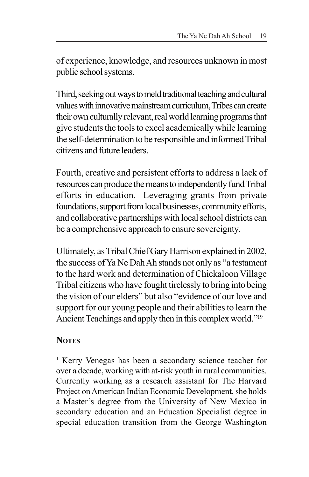of experience, knowledge, and resources unknown in most public school systems.

Third, seeking out ways to meld traditional teaching and cultural values with innovative mainstream curriculum, Tribes can create their own culturally relevant, real world learning programs that give students the tools to excel academically while learning the self-determination to be responsible and informed Tribal citizens and future leaders.

Fourth, creative and persistent efforts to address a lack of resources can produce the means to independently fund Tribal efforts in education. Leveraging grants from private foundations, support from local businesses, community efforts, and collaborative partnerships with local school districts can be a comprehensive approach to ensure sovereignty.

Ultimately, as Tribal Chief Gary Harrison explained in 2002, the success of Ya Ne Dah Ah stands not only as "a testament to the hard work and determination of Chickaloon Village Tribal citizens who have fought tirelessly to bring into being the vision of our elders" but also "evidence of our love and support for our young people and their abilities to learn the Ancient Teachings and apply then in this complex world."19

#### **NOTES**

<sup>1</sup> Kerry Venegas has been a secondary science teacher for over a decade, working with at-risk youth in rural communities. Currently working as a research assistant for The Harvard Project on American Indian Economic Development, she holds a Master's degree from the University of New Mexico in secondary education and an Education Specialist degree in special education transition from the George Washington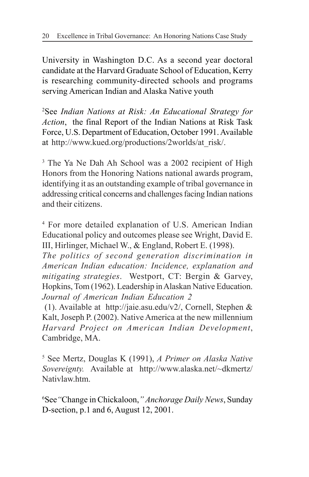University in Washington D.C. As a second year doctoral candidate at the Harvard Graduate School of Education, Kerry is researching community-directed schools and programs serving American Indian and Alaska Native youth

2 See *Indian Nations at Risk: An Educational Strategy for Action*, the final Report of the Indian Nations at Risk Task Force, U.S. Department of Education, October 1991. Available at http://www.kued.org/productions/2worlds/at\_risk/.

<sup>3</sup> The Ya Ne Dah Ah School was a 2002 recipient of High Honors from the Honoring Nations national awards program, identifying it as an outstanding example of tribal governance in addressing critical concerns and challenges facing Indian nations and their citizens.

4 For more detailed explanation of U.S. American Indian Educational policy and outcomes please see Wright, David E. III, Hirlinger, Michael W., & England, Robert E. (1998).

*The politics of second generation discrimination in American Indian education: Incidence, explanation and mitigating strategies*. Westport, CT: Bergin & Garvey, Hopkins, Tom (1962). Leadership in Alaskan Native Education. *Journal of American Indian Education 2*

 (1). Available at http://jaie.asu.edu/v2/, Cornell, Stephen & Kalt, Joseph P. (2002). Native America at the new millennium *Harvard Project on American Indian Development*, Cambridge, MA.

5 See Mertz, Douglas K (1991), *A Primer on Alaska Native Sovereignty.* Available at http://www.alaska.net/~dkmertz/ Nativlaw.htm.

6 See*"*Change in Chickaloon,*" Anchorage Daily News*, Sunday D-section, p.1 and 6, August 12, 2001.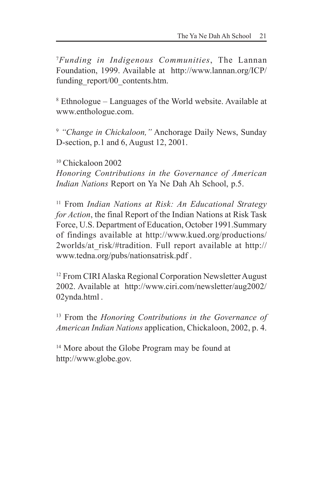7 *Funding in Indigenous Communities*, The Lannan Foundation, 1999. Available at http://www.lannan.org/ICP/ funding\_report/00\_contents.htm.

8 Ethnologue – Languages of the World website. Available at www.enthologue.com.

<sup>9</sup> *"Change in Chickaloon,"* Anchorage Daily News, Sunday D-section, p.1 and 6, August 12, 2001.

10 Chickaloon 2002

*Honoring Contributions in the Governance of American Indian Nations* Report on Ya Ne Dah Ah School, p.5.

11 From *Indian Nations at Risk: An Educational Strategy for Action*, the final Report of the Indian Nations at Risk Task Force, U.S. Department of Education, October 1991.Summary of findings available at http://www.kued.org/productions/ 2worlds/at risk/#tradition. Full report available at http:// www.tedna.org/pubs/nationsatrisk.pdf .

12 From CIRI Alaska Regional Corporation Newsletter August 2002. Available at http://www.ciri.com/newsletter/aug2002/ 02ynda.html .

13 From the *Honoring Contributions in the Governance of American Indian Nations* application, Chickaloon, 2002, p. 4.

<sup>14</sup> More about the Globe Program may be found at http://www.globe.gov.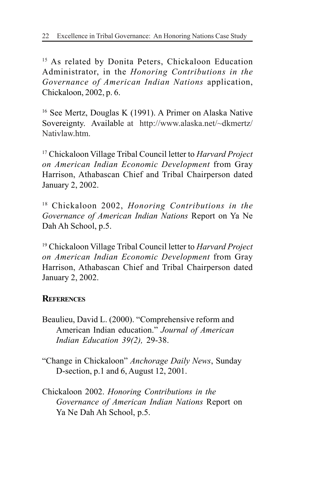<sup>15</sup> As related by Donita Peters, Chickaloon Education Administrator, in the *Honoring Contributions in the Governance of American Indian Nations* application, Chickaloon, 2002, p. 6.

16 See Mertz, Douglas K (1991). A Primer on Alaska Native Sovereignty. Available at http://www.alaska.net/~dkmertz/ Nativlaw.htm.

17 Chickaloon Village Tribal Council letter to *Harvard Project on American Indian Economic Development* from Gray Harrison, Athabascan Chief and Tribal Chairperson dated January 2, 2002.

18 Chickaloon 2002, *Honoring Contributions in the Governance of American Indian Nations* Report on Ya Ne Dah Ah School, p.5.

19 Chickaloon Village Tribal Council letter to *Harvard Project on American Indian Economic Development* from Gray Harrison, Athabascan Chief and Tribal Chairperson dated January 2, 2002.

#### **REFERENCES**

- Beaulieu, David L. (2000). "Comprehensive reform and American Indian education." *Journal of American Indian Education 39(2),* 29-38.
- "Change in Chickaloon" *Anchorage Daily News*, Sunday D-section, p.1 and 6, August 12, 2001.
- Chickaloon 2002. *Honoring Contributions in the Governance of American Indian Nations* Report on Ya Ne Dah Ah School, p.5.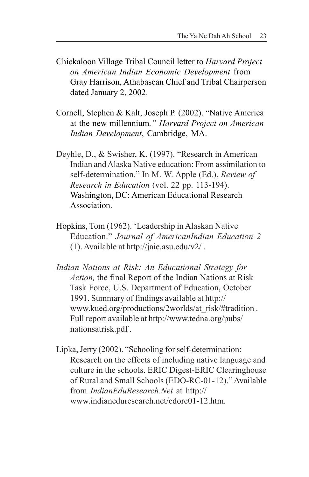- Chickaloon Village Tribal Council letter to *Harvard Project on American Indian Economic Development* from Gray Harrison, Athabascan Chief and Tribal Chairperson dated January 2, 2002.
- Cornell, Stephen & Kalt, Joseph P. (2002). "Native America at the new millennium*." Harvard Project on American Indian Development*, Cambridge, MA.
- Deyhle, D., & Swisher, K. (1997). "Research in American Indian and Alaska Native education: From assimilation to self-determination." In M. W. Apple (Ed.), *Review of Research in Education* (vol. 22 pp. 113-194). Washington, DC: American Educational Research Association.
- Hopkins, Tom (1962). 'Leadership in Alaskan Native Education." *Journal of AmericanIndian Education 2* (1). Available at http://jaie.asu.edu/v2/ .
- *Indian Nations at Risk: An Educational Strategy for Action,* the final Report of the Indian Nations at Risk Task Force, U.S. Department of Education, October 1991. Summary of findings available at http:// www.kued.org/productions/2worlds/at\_risk/#tradition . Full report available at http://www.tedna.org/pubs/ nationsatrisk.pdf .
- Lipka, Jerry (2002). "Schooling for self-determination: Research on the effects of including native language and culture in the schools. ERIC Digest-ERIC Clearinghouse of Rural and Small Schools (EDO-RC-01-12)." Available from *IndianEduResearch.Net* at http:// www.indianeduresearch.net/edorc01-12.htm.